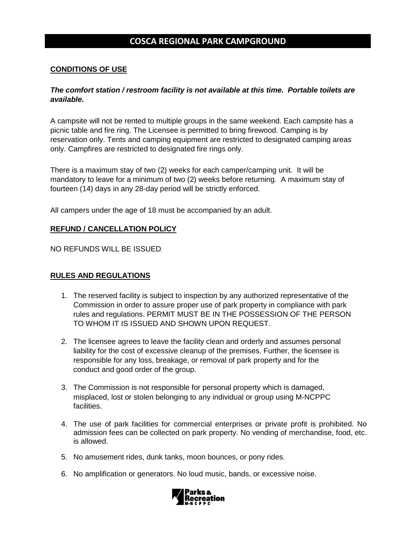## **COSCA REGIONAL PARK CAMPGROUND**

### **CONDITIONS OF USE**

#### *The comfort station / restroom facility is not available at this time. Portable toilets are available.*

A campsite will not be rented to multiple groups in the same weekend. Each campsite has a picnic table and fire ring. The Licensee is permitted to bring firewood. Camping is by reservation only. Tents and camping equipment are restricted to designated camping areas only. Campfires are restricted to designated fire rings only.

There is a maximum stay of two (2) weeks for each camper/camping unit. It will be mandatory to leave for a minimum of two (2) weeks before returning. A maximum stay of fourteen (14) days in any 28-day period will be strictly enforced.

All campers under the age of 18 must be accompanied by an adult.

#### **REFUND / CANCELLATION POLICY**

NO REFUNDS WILL BE ISSUED.

#### **RULES AND REGULATIONS**

- 1. The reserved facility is subject to inspection by any authorized representative of the Commission in order to assure proper use of park property in compliance with park rules and regulations. PERMIT MUST BE IN THE POSSESSION OF THE PERSON TO WHOM IT IS ISSUED AND SHOWN UPON REQUEST.
- 2. The licensee agrees to leave the facility clean and orderly and assumes personal liability for the cost of excessive cleanup of the premises. Further, the licensee is responsible for any loss, breakage, or removal of park property and for the conduct and good order of the group.
- 3. The Commission is not responsible for personal property which is damaged, misplaced, lost or stolen belonging to any individual or group using M-NCPPC facilities.
- 4. The use of park facilities for commercial enterprises or private profit is prohibited. No admission fees can be collected on park property. No vending of merchandise, food, etc. is allowed.
- 5. No amusement rides, dunk tanks, moon bounces, or pony rides.
- 6. No amplification or generators. No loud music, bands, or excessive noise.